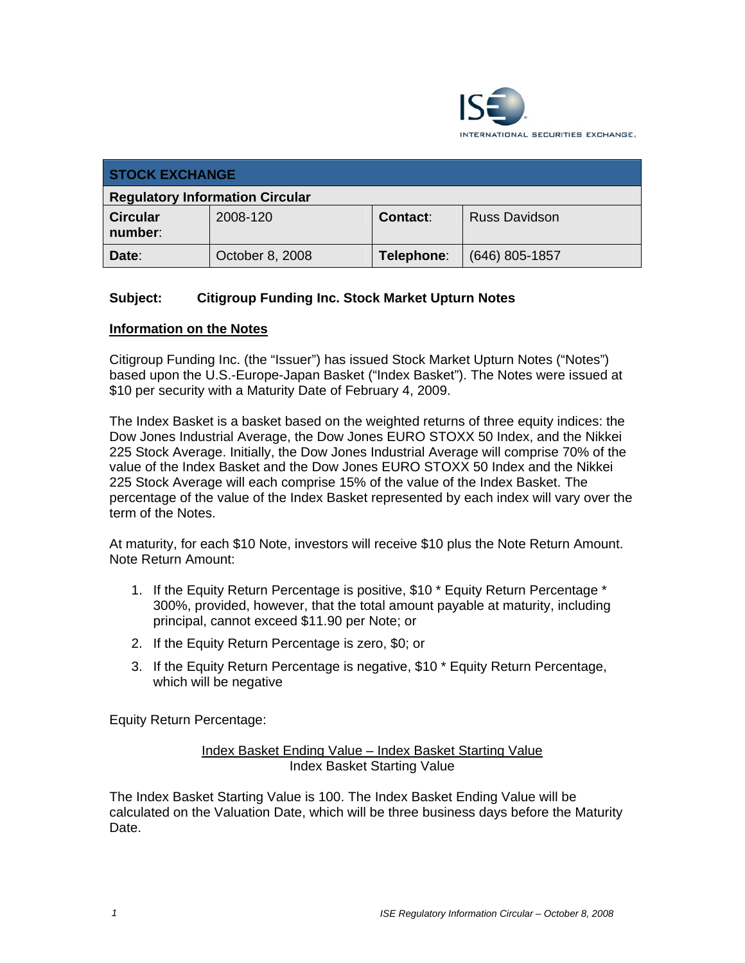

| <b>STOCK EXCHANGE</b>                  |                 |            |                      |
|----------------------------------------|-----------------|------------|----------------------|
| <b>Regulatory Information Circular</b> |                 |            |                      |
| <b>Circular</b><br>number:             | 2008-120        | Contact:   | <b>Russ Davidson</b> |
| Date:                                  | October 8, 2008 | Telephone: | $(646)$ 805-1857     |

# **Subject: Citigroup Funding Inc. Stock Market Upturn Notes**

#### **Information on the Notes**

Citigroup Funding Inc. (the "Issuer") has issued Stock Market Upturn Notes ("Notes") based upon the U.S.-Europe-Japan Basket ("Index Basket"). The Notes were issued at \$10 per security with a Maturity Date of February 4, 2009.

The Index Basket is a basket based on the weighted returns of three equity indices: the Dow Jones Industrial Average, the Dow Jones EURO STOXX 50 Index, and the Nikkei 225 Stock Average. Initially, the Dow Jones Industrial Average will comprise 70% of the value of the Index Basket and the Dow Jones EURO STOXX 50 Index and the Nikkei 225 Stock Average will each comprise 15% of the value of the Index Basket. The percentage of the value of the Index Basket represented by each index will vary over the term of the Notes.

At maturity, for each \$10 Note, investors will receive \$10 plus the Note Return Amount. Note Return Amount:

- 1. If the Equity Return Percentage is positive, \$10 \* Equity Return Percentage \* 300%, provided, however, that the total amount payable at maturity, including principal, cannot exceed \$11.90 per Note; or
- 2. If the Equity Return Percentage is zero, \$0; or
- 3. If the Equity Return Percentage is negative, \$10 \* Equity Return Percentage, which will be negative

Equity Return Percentage:

Index Basket Ending Value – Index Basket Starting Value Index Basket Starting Value

The Index Basket Starting Value is 100. The Index Basket Ending Value will be calculated on the Valuation Date, which will be three business days before the Maturity Date.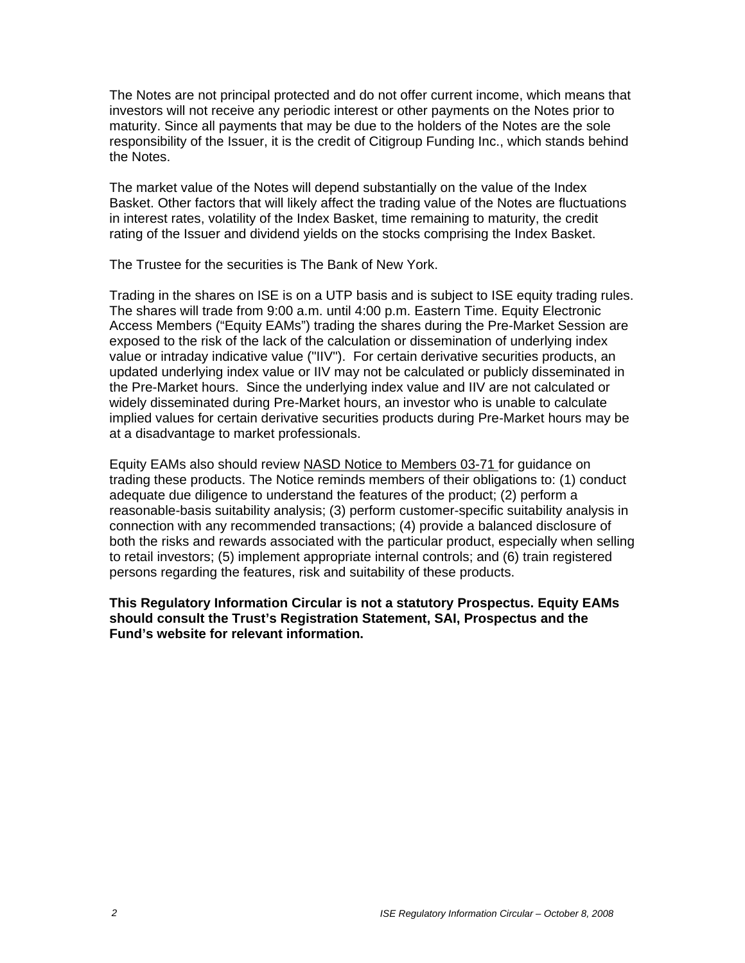The Notes are not principal protected and do not offer current income, which means that investors will not receive any periodic interest or other payments on the Notes prior to maturity. Since all payments that may be due to the holders of the Notes are the sole responsibility of the Issuer, it is the credit of Citigroup Funding Inc., which stands behind the Notes.

The market value of the Notes will depend substantially on the value of the Index Basket. Other factors that will likely affect the trading value of the Notes are fluctuations in interest rates, volatility of the Index Basket, time remaining to maturity, the credit rating of the Issuer and dividend yields on the stocks comprising the Index Basket.

The Trustee for the securities is The Bank of New York.

Trading in the shares on ISE is on a UTP basis and is subject to ISE equity trading rules. The shares will trade from 9:00 a.m. until 4:00 p.m. Eastern Time. Equity Electronic Access Members ("Equity EAMs") trading the shares during the Pre-Market Session are exposed to the risk of the lack of the calculation or dissemination of underlying index value or intraday indicative value ("IIV"). For certain derivative securities products, an updated underlying index value or IIV may not be calculated or publicly disseminated in the Pre-Market hours. Since the underlying index value and IIV are not calculated or widely disseminated during Pre-Market hours, an investor who is unable to calculate implied values for certain derivative securities products during Pre-Market hours may be at a disadvantage to market professionals.

Equity EAMs also should review NASD Notice to Members 03-71 for guidance on trading these products. The Notice reminds members of their obligations to: (1) conduct adequate due diligence to understand the features of the product; (2) perform a reasonable-basis suitability analysis; (3) perform customer-specific suitability analysis in connection with any recommended transactions; (4) provide a balanced disclosure of both the risks and rewards associated with the particular product, especially when selling to retail investors; (5) implement appropriate internal controls; and (6) train registered persons regarding the features, risk and suitability of these products.

**This Regulatory Information Circular is not a statutory Prospectus. Equity EAMs should consult the Trust's Registration Statement, SAI, Prospectus and the Fund's website for relevant information.**